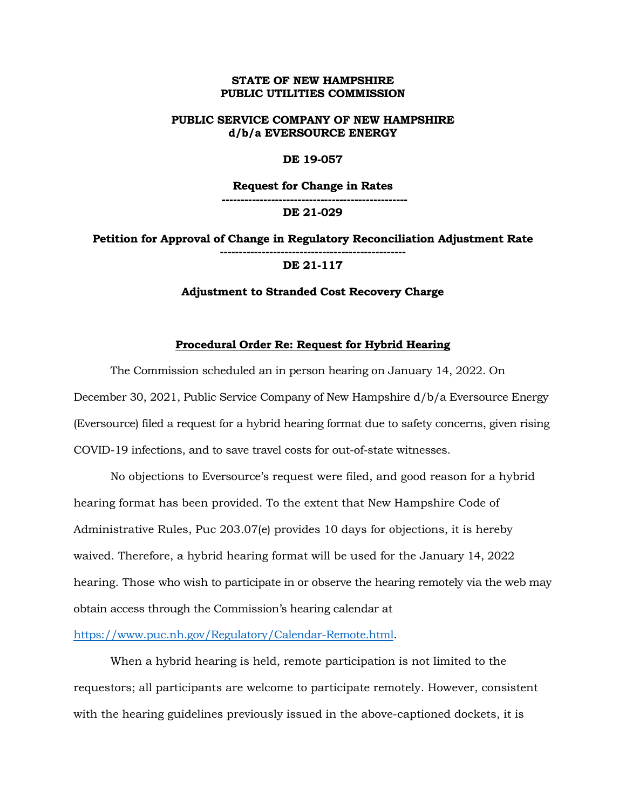## **STATE OF NEW HAMPSHIRE PUBLIC UTILITIES COMMISSION**

# **PUBLIC SERVICE COMPANY OF NEW HAMPSHIRE d/b/a EVERSOURCE ENERGY**

### **DE 19-057**

**Request for Change in Rates**

**------------------------------------------------- DE 21-029**

**Petition for Approval of Change in Regulatory Reconciliation Adjustment Rate ------------------------------------------------- DE 21-117**

#### **Adjustment to Stranded Cost Recovery Charge**

### **Procedural Order Re: Request for Hybrid Hearing**

The Commission scheduled an in person hearing on January 14, 2022. On December 30, 2021, Public Service Company of New Hampshire d/b/a Eversource Energy (Eversource) filed a request for a hybrid hearing format due to safety concerns, given rising COVID-19 infections, and to save travel costs for out-of-state witnesses.

No objections to Eversource's request were filed, and good reason for a hybrid hearing format has been provided. To the extent that New Hampshire Code of Administrative Rules, Puc 203.07(e) provides 10 days for objections, it is hereby waived. Therefore, a hybrid hearing format will be used for the January 14, 2022 hearing. Those who wish to participate in or observe the hearing remotely via the web may obtain access through the Commission's hearing calendar at

[https://www.puc.nh.gov/Regulatory/Calendar-Remote.html.](https://www.puc.nh.gov/Regulatory/Calendar-Remote.html)

When a hybrid hearing is held, remote participation is not limited to the requestors; all participants are welcome to participate remotely. However, consistent with the hearing guidelines previously issued in the above-captioned dockets, it is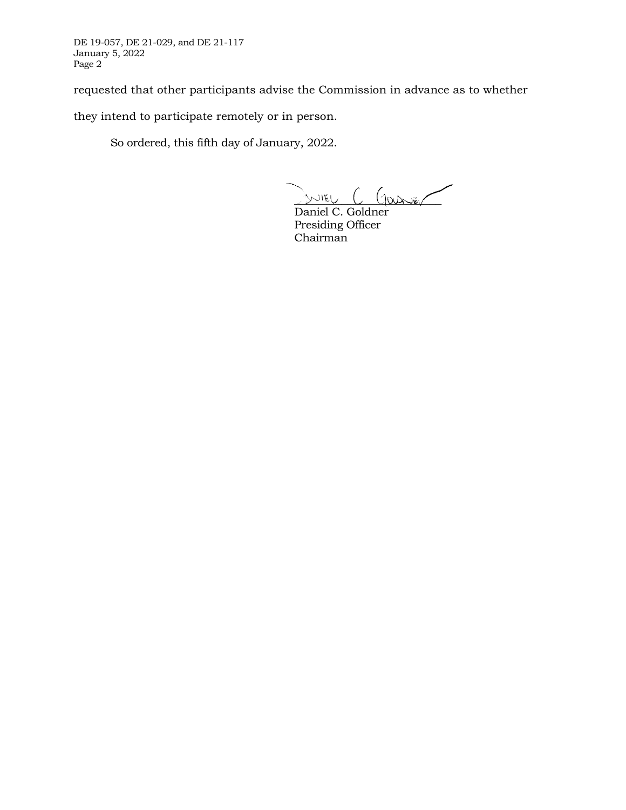DE 19-057, DE 21-029, and DE 21-117 January 5, 2022 Page 2

requested that other participants advise the Commission in advance as to whether

they intend to participate remotely or in person.

So ordered, this fifth day of January, 2022.

JUIEU C Garier

Daniel C. Goldner Presiding Officer Chairman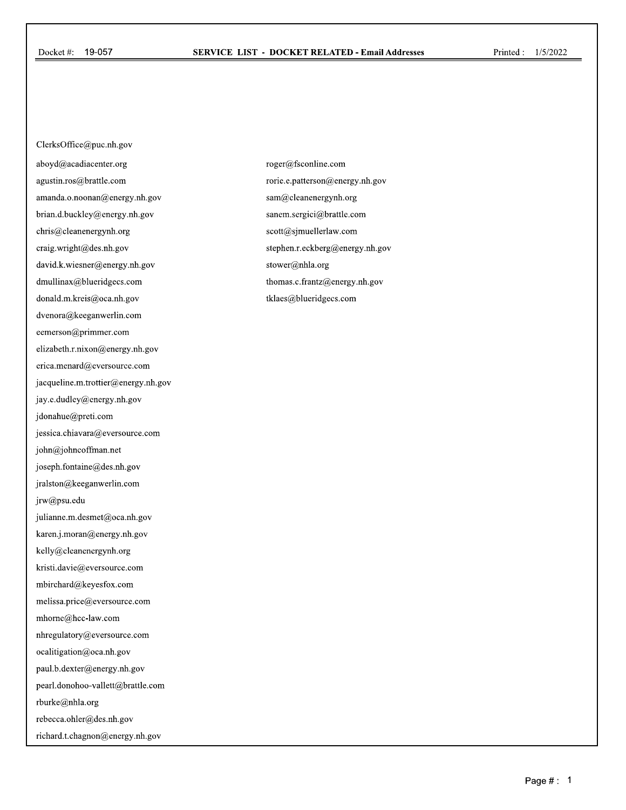ClerksOffice@puc.nh.gov aboyd@acadiacenter.org agustin.ros@brattle.com amanda.o.noonan@energy.nh.gov brian.d.buckley@energy.nh.gov chris@cleanenergynh.org craig.wright@des.nh.gov david.k.wiesner@energy.nh.gov dmullinax@blueridgecs.com donald.m.kreis@oca.nh.gov dvenora@keeganwerlin.com eemerson@primmer.com elizabeth.r.nixon@energy.nh.gov erica.menard@eversource.com jacqueline.m.trottier@energy.nh.gov jay.e.dudley@energy.nh.gov jdonahue@preti.com jessica.chiavara@eversource.com john@johncoffman.net joseph.fontaine@des.nh.gov jralston@keeganwerlin.com jrw@psu.edu julianne.m.desmet@oca.nh.gov karen.j.moran@energy.nh.gov kelly@cleanenergynh.org kristi.davie@eversource.com mbirchard@keyesfox.com melissa.price@eversource.com mhorne@hcc-law.com nhregulatory@eversource.com ocalitigation@oca.nh.gov paul.b.dexter@energy.nh.gov pearl.donohoo-vallett@brattle.com rburke@nhla.org rebecca.ohler@des.nh.gov richard.t.chagnon@energy.nh.gov

roger@fsconline.com rorie.e.patterson@energy.nh.gov sam@cleanenergynh.org sanem.sergici@brattle.com scott@sjmuellerlaw.com stephen.r.eckberg@energy.nh.gov stower@nhla.org thomas.c.frantz@energy.nh.gov tklaes@blueridgecs.com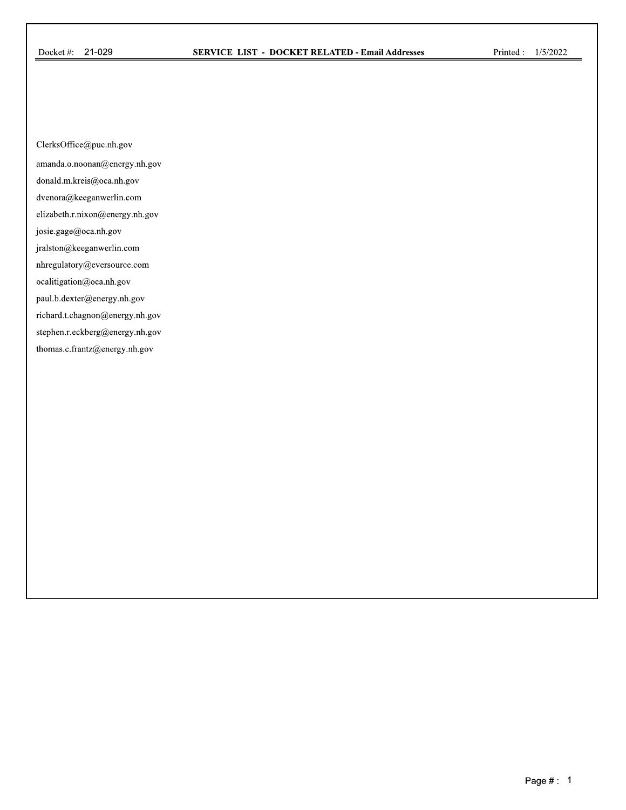ClerksOffice@puc.nh.gov

amanda.o.noonan@energy.nh.gov

donald.m.kreis@oca.nh.gov

dvenora@keeganwerlin.com

elizabeth.r.nixon@energy.nh.gov

josie.gage@oca.nh.gov

jralston@keeganwerlin.com

nhregulatory@eversource.com

ocalitigation@oca.nh.gov

paul.b.dexter@energy.nh.gov

richard.t.chagnon@energy.nh.gov

stephen.r.eckberg@energy.nh.gov

thomas.c.frantz@energy.nh.gov